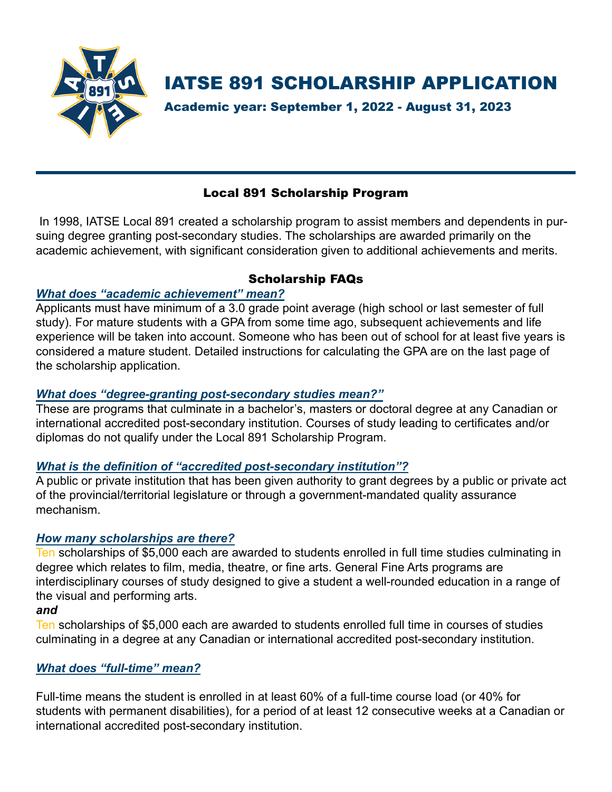

Academic year: September 1, 2022 - August 31, 2023

# Local 891 Scholarship Program

 In 1998, IATSE Local 891 created a scholarship program to assist members and dependents in pursuing degree granting post-secondary studies. The scholarships are awarded primarily on the academic achievement, with significant consideration given to additional achievements and merits.

## Scholarship FAQs

## *What does "academic achievement" mean?*

Applicants must have minimum of a 3.0 grade point average (high school or last semester of full study). For mature students with a GPA from some time ago, subsequent achievements and life experience will be taken into account. Someone who has been out of school for at least five years is considered a mature student. Detailed instructions for calculating the GPA are on the last page of the scholarship application.

#### *What does "degree-granting post-secondary studies mean?"*

These are programs that culminate in a bachelor's, masters or doctoral degree at any Canadian or international accredited post-secondary institution. Courses of study leading to certificates and/or diplomas do not qualify under the Local 891 Scholarship Program.

# *What is the definition of "accredited post-secondary institution"?*

A public or private institution that has been given authority to grant degrees by a public or private act of the provincial/territorial legislature or through a government-mandated quality assurance mechanism.

#### *How many scholarships are there?*

Ten scholarships of \$5,000 each are awarded to students enrolled in full time studies culminating in degree which relates to film, media, theatre, or fine arts. General Fine Arts programs are interdisciplinary courses of study designed to give a student a well-rounded education in a range of the visual and performing arts.

#### *and*

Ten scholarships of \$5,000 each are awarded to students enrolled full time in courses of studies culminating in a degree at any Canadian or international accredited post-secondary institution.

# *What does "full-time" mean?*

Full-time means the student is enrolled in at least 60% of a full-time course load (or 40% for students with permanent disabilities), for a period of at least 12 consecutive weeks at a Canadian or international accredited post-secondary institution.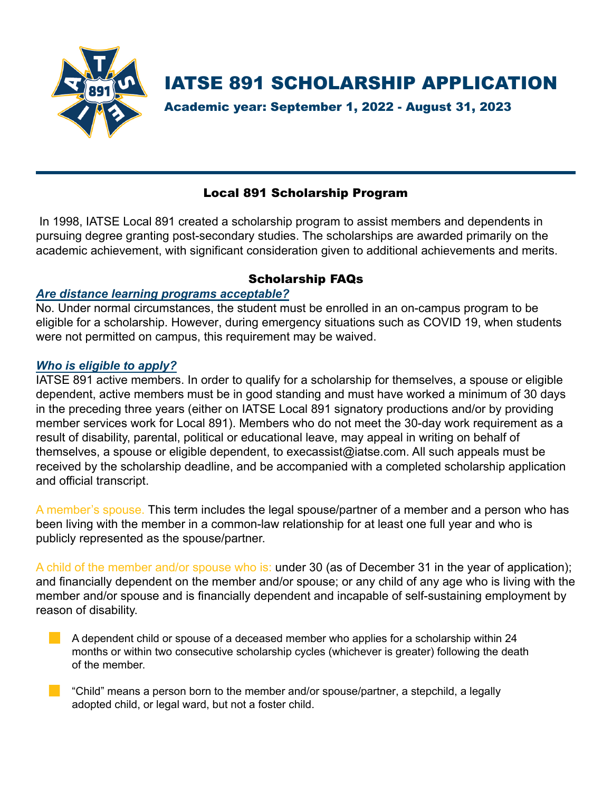

Academic year: September 1, 2022 - August 31, 2023

# Local 891 Scholarship Program

 In 1998, IATSE Local 891 created a scholarship program to assist members and dependents in pursuing degree granting post-secondary studies. The scholarships are awarded primarily on the academic achievement, with significant consideration given to additional achievements and merits.

## Scholarship FAQs

#### *Are distance learning programs acceptable?*

No. Under normal circumstances, the student must be enrolled in an on-campus program to be eligible for a scholarship. However, during emergency situations such as COVID 19, when students were not permitted on campus, this requirement may be waived.

# *Who is eligible to apply?*

IATSE 891 active members. In order to qualify for a scholarship for themselves, a spouse or eligible dependent, active members must be in good standing and must have worked a minimum of 30 days in the preceding three years (either on IATSE Local 891 signatory productions and/or by providing member services work for Local 891). Members who do not meet the 30-day work requirement as a result of disability, parental, political or educational leave, may appeal in writing on behalf of themselves, a spouse or eligible dependent, to execassist@iatse.com. All such appeals must be received by the scholarship deadline, and be accompanied with a completed scholarship application and official transcript.

A member's spouse. This term includes the legal spouse/partner of a member and a person who has been living with the member in a common-law relationship for at least one full year and who is publicly represented as the spouse/partner.

A child of the member and/or spouse who is: under 30 (as of December 31 in the year of application); and financially dependent on the member and/or spouse; or any child of any age who is living with the member and/or spouse and is financially dependent and incapable of self-sustaining employment by reason of disability.

 $\blacksquare$  A dependent child or spouse of a deceased member who applies for a scholarship within 24 months or within two consecutive scholarship cycles (whichever is greater) following the death of the member.

"Child" means a person born to the member and/or spouse/partner, a stepchild, a legally adopted child, or legal ward, but not a foster child.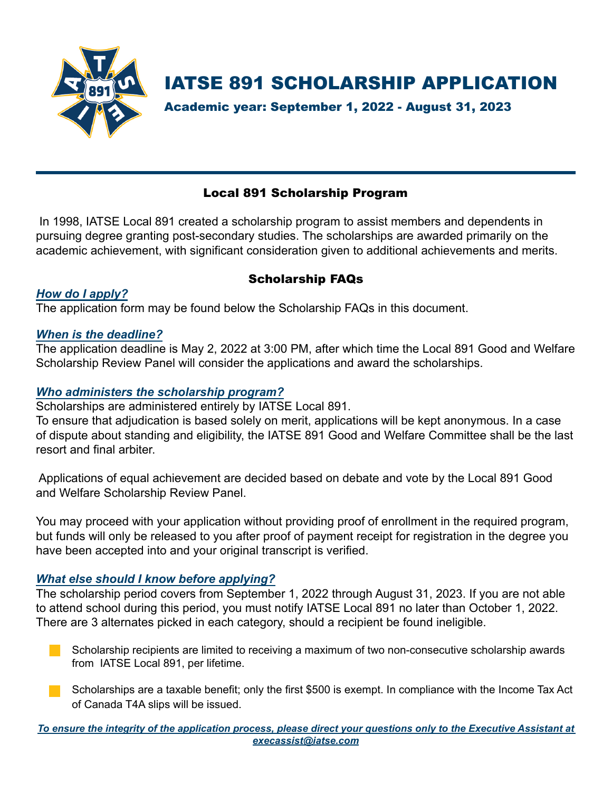

 In 1998, IATSE Local 891 created a scholarship program to assist members and dependents in pursuing degree granting post-secondary studies. The scholarships are awarded primarily on the academic achievement, with significant consideration given to additional achievements and merits.

## Scholarship FAQs

#### *How do I apply?* The application form may be found below the Scholarship FAQs in this document.

#### *When is the deadline?*

The application deadline is May 2, 2022 at 3:00 PM, after which time the Local 891 Good and Welfare Scholarship Review Panel will consider the applications and award the scholarships.

#### *Who administers the scholarship program?*

Scholarships are administered entirely by IATSE Local 891.

To ensure that adjudication is based solely on merit, applications will be kept anonymous. In a case of dispute about standing and eligibility, the IATSE 891 Good and Welfare Committee shall be the last resort and final arbiter.

Applications of equal achievement are decided based on debate and vote by the Local 891 Good and Welfare Scholarship Review Panel.

You may proceed with your application without providing proof of enrollment in the required program, but funds will only be released to you after proof of payment receipt for registration in the degree you have been accepted into and your original transcript is verified.

#### *What else should I know before applying?*

The scholarship period covers from September 1, 2022 through August 31, 2023. If you are not able to attend school during this period, you must notify IATSE Local 891 no later than October 1, 2022. There are 3 alternates picked in each category, should a recipient be found ineligible.

- Scholarship recipients are limited to receiving a maximum of two non-consecutive scholarship awards from IATSE Local 891, per lifetime.
- Scholarships are a taxable benefit; only the first \$500 is exempt. In compliance with the Income Tax Act of Canada T4A slips will be issued.

*To ensure the integrity of the application process, please direct your questions only to the Executive Assistant at execassist@iatse.com*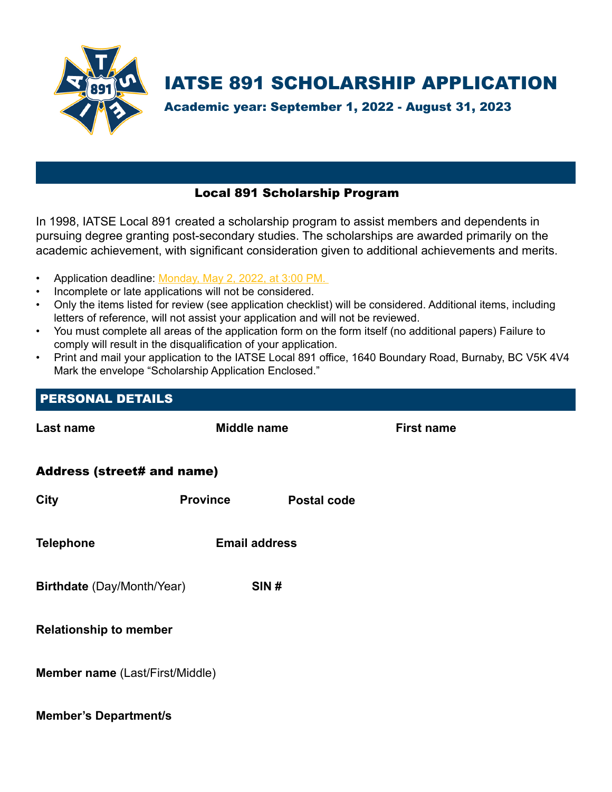

In 1998, IATSE Local 891 created a scholarship program to assist members and dependents in pursuing degree granting post-secondary studies. The scholarships are awarded primarily on the academic achievement, with significant consideration given to additional achievements and merits.

- Application deadline: Monday, May 2, 2022, at 3:00 PM.
- Incomplete or late applications will not be considered.
- Only the items listed for review (see application checklist) will be considered. Additional items, including letters of reference, will not assist your application and will not be reviewed.
- You must complete all areas of the application form on the form itself (no additional papers) Failure to comply will result in the disqualification of your application.
- Print and mail your application to the IATSE Local 891 office, 1640 Boundary Road, Burnaby, BC V5K 4V4 Mark the envelope "Scholarship Application Enclosed."

| <b>PERSONAL DETAILS</b>            |                      |                    |                   |  |  |
|------------------------------------|----------------------|--------------------|-------------------|--|--|
| Last name                          | Middle name          |                    | <b>First name</b> |  |  |
| <b>Address (street# and name)</b>  |                      |                    |                   |  |  |
| <b>City</b>                        | <b>Province</b>      | <b>Postal code</b> |                   |  |  |
|                                    |                      |                    |                   |  |  |
| <b>Telephone</b>                   | <b>Email address</b> |                    |                   |  |  |
| Birthdate (Day/Month/Year)<br>SIN# |                      |                    |                   |  |  |
| <b>Relationship to member</b>      |                      |                    |                   |  |  |
| Member name (Last/First/Middle)    |                      |                    |                   |  |  |
| Marcelanda Barcartus suble         |                      |                    |                   |  |  |

**Member's Department/s**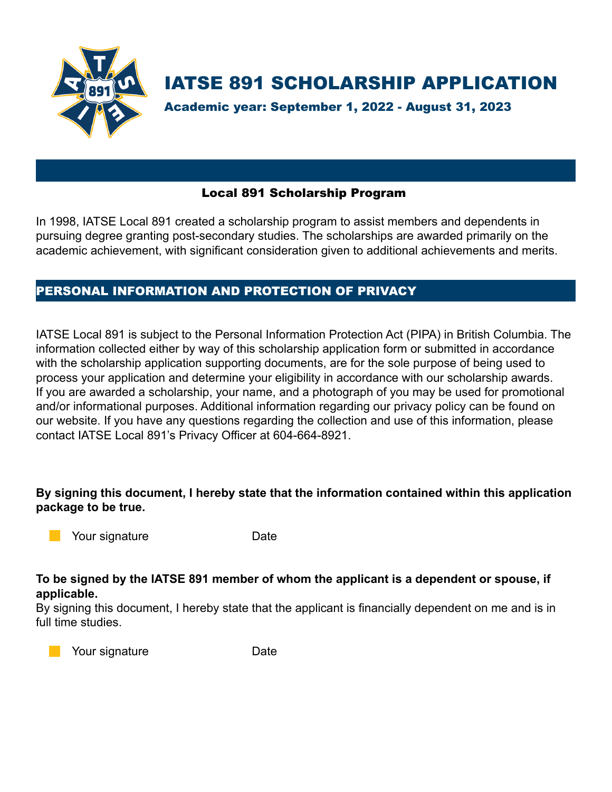

In 1998, IATSE Local 891 created a scholarship program to assist members and dependents in pursuing degree granting post-secondary studies. The scholarships are awarded primarily on the academic achievement, with significant consideration given to additional achievements and merits.

# PERSONAL INFORMATION AND PROTECTION OF PRIVACY

IATSE Local 891 is subject to the Personal Information Protection Act (PIPA) in British Columbia. The information collected either by way of this scholarship application form or submitted in accordance with the scholarship application supporting documents, are for the sole purpose of being used to process your application and determine your eligibility in accordance with our scholarship awards. If you are awarded a scholarship, your name, and a photograph of you may be used for promotional and/or informational purposes. Additional information regarding our privacy policy can be found on our website. If you have any questions regarding the collection and use of this information, please contact IATSE Local 891's Privacy Officer at 604-664-8921.

**By signing this document, I hereby state that the information contained within this application package to be true.**

Your signature **Date** 

**To be signed by the IATSE 891 member of whom the applicant is a dependent or spouse, if applicable.**

By signing this document, I hereby state that the applicant is financially dependent on me and is in full time studies.



Your signature **Date**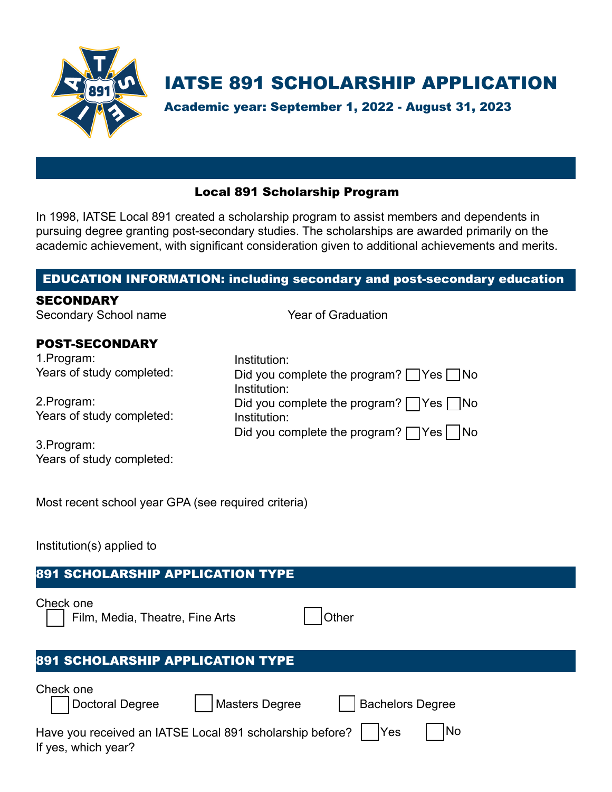

In 1998, IATSE Local 891 created a scholarship program to assist members and dependents in pursuing degree granting post-secondary studies. The scholarships are awarded primarily on the academic achievement, with significant consideration given to additional achievements and merits.

# EDUCATION INFORMATION: including secondary and post-secondary education

| <b>SECONDARY</b>             |                                                    |
|------------------------------|----------------------------------------------------|
| <b>Secondary School name</b> | <b>Year of Graduation</b>                          |
| <b>POST-SECONDARY</b>        |                                                    |
| 1. Program:                  | Institution:                                       |
| Years of study completed:    | Did you complete the program? $\Box$ Yes $\Box$ No |
|                              | Institution:                                       |
| 2.Program:                   | Did you complete the program? $\Box$ Yes $\Box$ No |
| Years of study completed:    | Institution:                                       |
|                              | Did you complete the program? $\Box$ Yes     No    |
| 3.Program:                   |                                                    |
| Years of study completed:    |                                                    |

Most recent school year GPA (see required criteria)

Institution(s) applied to

| 891 SCHOLARSHIP APPLICATION TYPE                                                             |  |  |
|----------------------------------------------------------------------------------------------|--|--|
| Check one<br>Film, Media, Theatre, Fine Arts<br>Other                                        |  |  |
| 891 SCHOLARSHIP APPLICATION TYPE                                                             |  |  |
| Check one<br><b>Masters Degree</b><br><b>Doctoral Degree</b><br><b>Bachelors Degree</b>      |  |  |
| Have you received an IATSE Local 891 scholarship before?<br>Yes<br>No<br>If yes, which year? |  |  |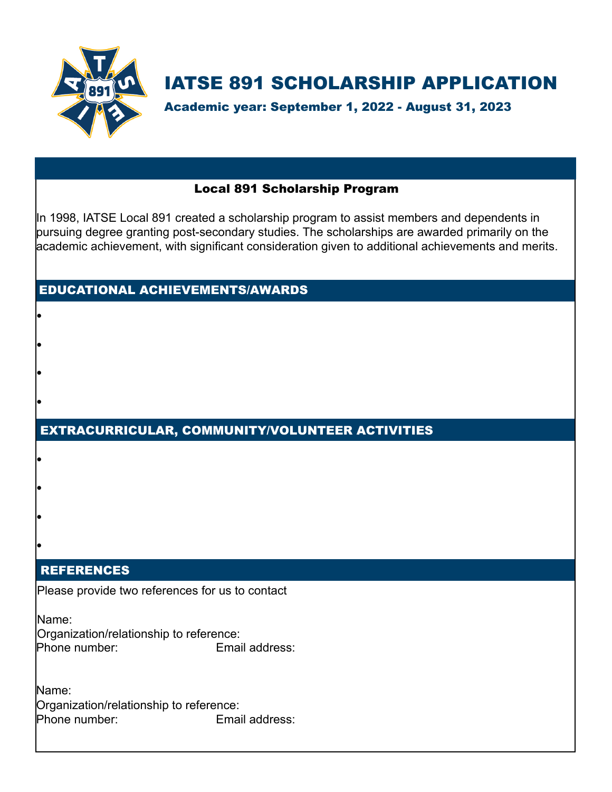

Academic year: September 1, 2022 - August 31, 2023

# Local 891 Scholarship Program

In 1998, IATSE Local 891 created a scholarship program to assist members and dependents in pursuing degree granting post-secondary studies. The scholarships are awarded primarily on the academic achievement, with significant consideration given to additional achievements and merits.

# EDUCATIONAL ACHIEVEMENTS/AWARDS

# EXTRACURRICULAR, COMMUNITY/VOLUNTEER ACTIVITIES

#### **REFERENCES**

•

•

•

•

•

•

•

•

Please provide two references for us to contact

Name:

Phone number: Email address: Organization/relationship to reference:

Name: Organization/relationship to reference: Phone number: Email address: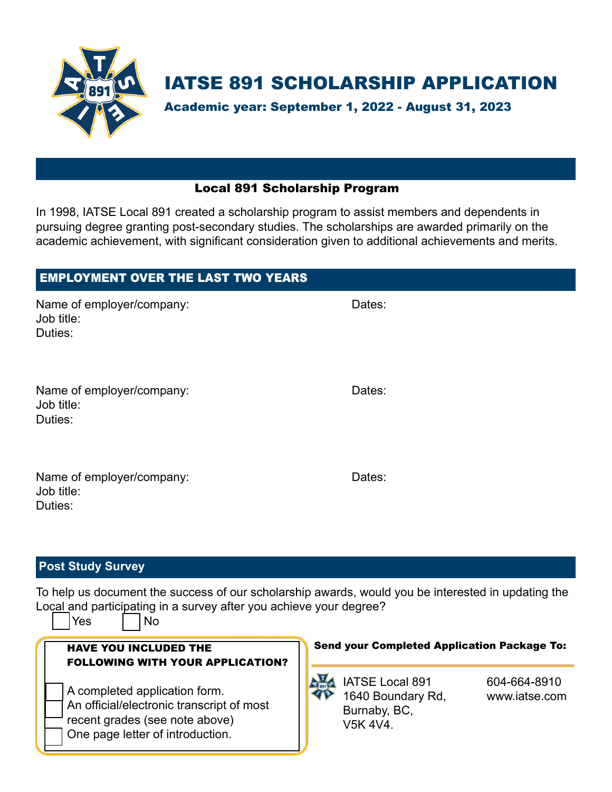

In 1998, IATSE Local 891 created a scholarship program to assist members and dependents in pursuing degree granting post-secondary studies. The scholarships are awarded primarily on the academic achievement, with significant consideration given to additional achievements and merits.

| <b>EMPLOYMENT OVER THE LAST TWO YEARS</b>          |        |  |  |  |
|----------------------------------------------------|--------|--|--|--|
| Name of employer/company:<br>Job title:<br>Duties: | Dates: |  |  |  |
| Name of employer/company:<br>Job title:<br>Duties: | Dates: |  |  |  |
| Name of employer/company:<br>Job title:<br>Duties: | Dates: |  |  |  |

#### **Post Study Survey**

To help us document the success of our scholarship awards, would you be interested in updating the Local and participating in a survey after you achieve your degree?  $\Box$ No

| .<br><b>HAVE YOU INCLUDED THE</b><br><b>FOLLOWING WITH YOUR APPLICATION?</b>                                                                     | <b>Send your Completed Application Package To:</b>                                                |
|--------------------------------------------------------------------------------------------------------------------------------------------------|---------------------------------------------------------------------------------------------------|
| A completed application form.<br>An official/electronic transcript of most<br>recent grades (see note above)<br>One page letter of introduction. | IATSE Local 891<br>604-664-8910<br>1640 Boundary Rd,<br>www.iatse.com<br>Burnaby, BC,<br>V5K 4V4. |